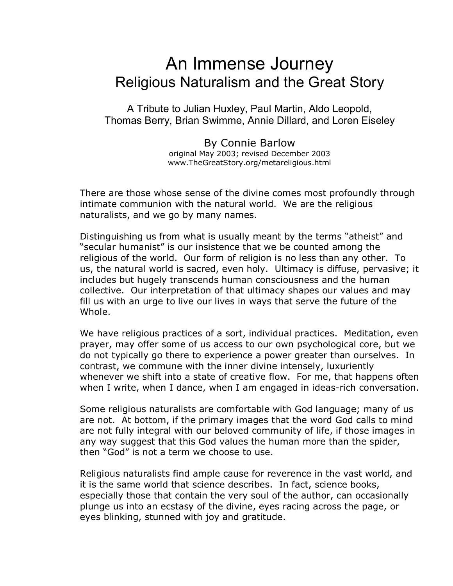# An Immense Journey Religious Naturalism and the Great Story

A Tribute to Julian Huxley, Paul Martin, Aldo Leopold, Thomas Berry, Brian Swimme, Annie Dillard, and Loren Eiseley

> By Connie Barlow original May 2003; revised December 2003 www.TheGreatStory.org/metareligious.html

There are those whose sense of the divine comes most profoundly through intimate communion with the natural world. We are the religious naturalists, and we go by many names.

Distinguishing us from what is usually meant by the terms "atheist" and "secular humanist" is our insistence that we be counted among the religious of the world. Our form of religion is no less than any other. To us, the natural world is sacred, even holy. Ultimacy is diffuse, pervasive; it includes but hugely transcends human consciousness and the human collective. Our interpretation of that ultimacy shapes our values and may fill us with an urge to live our lives in ways that serve the future of the Whole.

We have religious practices of a sort, individual practices. Meditation, even prayer, may offer some of us access to our own psychological core, but we do not typically go there to experience a power greater than ourselves. In contrast, we commune with the inner divine intensely, luxuriently whenever we shift into a state of creative flow. For me, that happens often when I write, when I dance, when I am engaged in ideas-rich conversation.

Some religious naturalists are comfortable with God language; many of us are not. At bottom, if the primary images that the word God calls to mind are not fully integral with our beloved community of life, if those images in any way suggest that this God values the human more than the spider, then "God" is not a term we choose to use.

Religious naturalists find ample cause for reverence in the vast world, and it is the same world that science describes. In fact, science books, especially those that contain the very soul of the author, can occasionally plunge us into an ecstasy of the divine, eyes racing across the page, or eyes blinking, stunned with joy and gratitude.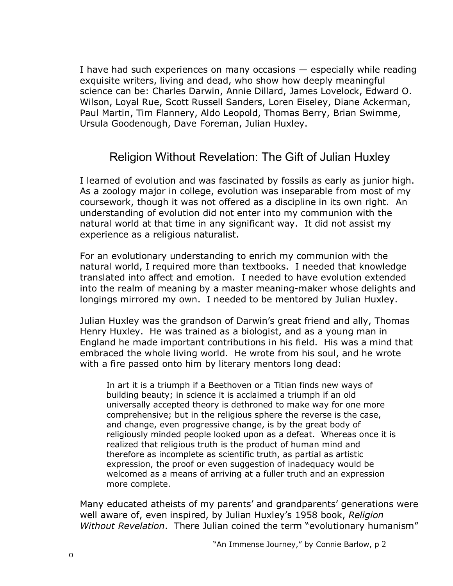I have had such experiences on many occasions  $-$  especially while reading exquisite writers, living and dead, who show how deeply meaningful science can be: Charles Darwin, Annie Dillard, James Lovelock, Edward O. Wilson, Loyal Rue, Scott Russell Sanders, Loren Eiseley, Diane Ackerman, Paul Martin, Tim Flannery, Aldo Leopold, Thomas Berry, Brian Swimme, Ursula Goodenough, Dave Foreman, Julian Huxley.

### Religion Without Revelation: The Gift of Julian Huxley

I learned of evolution and was fascinated by fossils as early as junior high. As a zoology major in college, evolution was inseparable from most of my coursework, though it was not offered as a discipline in its own right. An understanding of evolution did not enter into my communion with the natural world at that time in any significant way. It did not assist my experience as a religious naturalist.

For an evolutionary understanding to enrich my communion with the natural world, I required more than textbooks. I needed that knowledge translated into affect and emotion. I needed to have evolution extended into the realm of meaning by a master meaning-maker whose delights and longings mirrored my own. I needed to be mentored by Julian Huxley.

Julian Huxley was the grandson of Darwin's great friend and ally, Thomas Henry Huxley. He was trained as a biologist, and as a young man in England he made important contributions in his field. His was a mind that embraced the whole living world. He wrote from his soul, and he wrote with a fire passed onto him by literary mentors long dead:

In art it is a triumph if a Beethoven or a Titian finds new ways of building beauty; in science it is acclaimed a triumph if an old universally accepted theory is dethroned to make way for one more comprehensive; but in the religious sphere the reverse is the case, and change, even progressive change, is by the great body of religiously minded people looked upon as a defeat. Whereas once it is realized that religious truth is the product of human mind and therefore as incomplete as scientific truth, as partial as artistic expression, the proof or even suggestion of inadequacy would be welcomed as a means of arriving at a fuller truth and an expression more complete.

Many educated atheists of my parents' and grandparents' generations were well aware of, even inspired, by Julian Huxleyís 1958 book, *Religion Without Revelation.* There Julian coined the term "evolutionary humanism"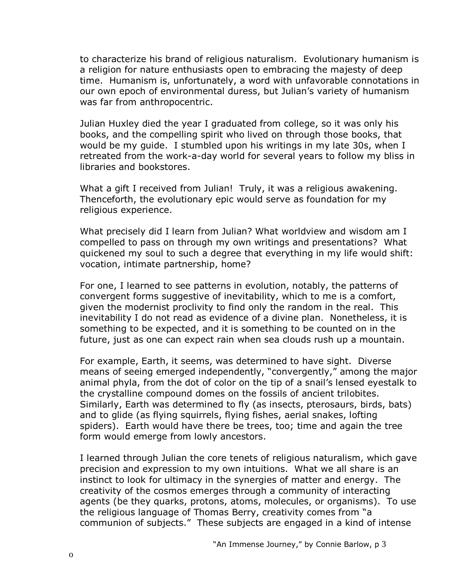to characterize his brand of religious naturalism. Evolutionary humanism is a religion for nature enthusiasts open to embracing the majesty of deep time. Humanism is, unfortunately, a word with unfavorable connotations in our own epoch of environmental duress, but Julian's variety of humanism was far from anthropocentric.

Julian Huxley died the year I graduated from college, so it was only his books, and the compelling spirit who lived on through those books, that would be my guide. I stumbled upon his writings in my late 30s, when I retreated from the work-a-day world for several years to follow my bliss in libraries and bookstores.

What a gift I received from Julian! Truly, it was a religious awakening. Thenceforth, the evolutionary epic would serve as foundation for my religious experience.

What precisely did I learn from Julian? What worldview and wisdom am I compelled to pass on through my own writings and presentations? What quickened my soul to such a degree that everything in my life would shift: vocation, intimate partnership, home?

For one, I learned to see patterns in evolution, notably, the patterns of convergent forms suggestive of inevitability, which to me is a comfort, given the modernist proclivity to find only the random in the real. This inevitability I do not read as evidence of a divine plan. Nonetheless, it is something to be expected, and it is something to be counted on in the future, just as one can expect rain when sea clouds rush up a mountain.

For example, Earth, it seems, was determined to have sight. Diverse means of seeing emerged independently, "convergently," among the major animal phyla, from the dot of color on the tip of a snail's lensed eyestalk to the crystalline compound domes on the fossils of ancient trilobites. Similarly, Earth was determined to fly (as insects, pterosaurs, birds, bats) and to glide (as flying squirrels, flying fishes, aerial snakes, lofting spiders). Earth would have there be trees, too; time and again the tree form would emerge from lowly ancestors.

I learned through Julian the core tenets of religious naturalism, which gave precision and expression to my own intuitions. What we all share is an instinct to look for ultimacy in the synergies of matter and energy. The creativity of the cosmos emerges through a community of interacting agents (be they quarks, protons, atoms, molecules, or organisms). To use the religious language of Thomas Berry, creativity comes from "a communion of subjects." These subjects are engaged in a kind of intense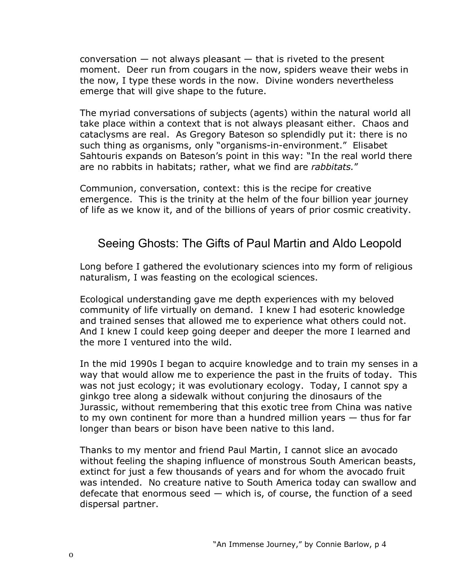conversation  $-$  not always pleasant  $-$  that is riveted to the present moment. Deer run from cougars in the now, spiders weave their webs in the now, I type these words in the now. Divine wonders nevertheless emerge that will give shape to the future.

The myriad conversations of subjects (agents) within the natural world all take place within a context that is not always pleasant either. Chaos and cataclysms are real. As Gregory Bateson so splendidly put it: there is no such thing as organisms, only "organisms-in-environment." Elisabet Sahtouris expands on Bateson's point in this way: "In the real world there are no rabbits in habitats; rather, what we find are *rabbitats.*î

Communion, conversation, context: this is the recipe for creative emergence. This is the trinity at the helm of the four billion year journey of life as we know it, and of the billions of years of prior cosmic creativity.

#### Seeing Ghosts: The Gifts of Paul Martin and Aldo Leopold

Long before I gathered the evolutionary sciences into my form of religious naturalism, I was feasting on the ecological sciences.

Ecological understanding gave me depth experiences with my beloved community of life virtually on demand. I knew I had esoteric knowledge and trained senses that allowed me to experience what others could not. And I knew I could keep going deeper and deeper the more I learned and the more I ventured into the wild.

In the mid 1990s I began to acquire knowledge and to train my senses in a way that would allow me to experience the past in the fruits of today. This was not just ecology; it was evolutionary ecology. Today, I cannot spy a ginkgo tree along a sidewalk without conjuring the dinosaurs of the Jurassic, without remembering that this exotic tree from China was native to my own continent for more than a hundred million years  $-$  thus for far longer than bears or bison have been native to this land.

Thanks to my mentor and friend Paul Martin, I cannot slice an avocado without feeling the shaping influence of monstrous South American beasts, extinct for just a few thousands of years and for whom the avocado fruit was intended. No creature native to South America today can swallow and defecate that enormous seed  $-$  which is, of course, the function of a seed dispersal partner.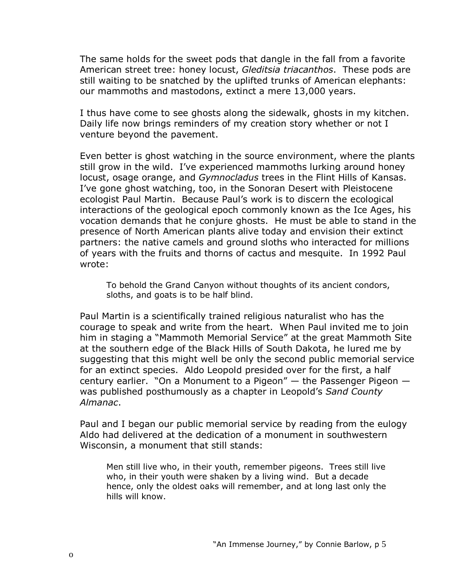The same holds for the sweet pods that dangle in the fall from a favorite American street tree: honey locust, *Gleditsia triacanthos*. These pods are still waiting to be snatched by the uplifted trunks of American elephants: our mammoths and mastodons, extinct a mere 13,000 years.

I thus have come to see ghosts along the sidewalk, ghosts in my kitchen. Daily life now brings reminders of my creation story whether or not I venture beyond the pavement.

Even better is ghost watching in the source environment, where the plants still grow in the wild. I've experienced mammoths lurking around honey locust, osage orange, and *Gymnocladus* trees in the Flint Hills of Kansas. I've gone ghost watching, too, in the Sonoran Desert with Pleistocene ecologist Paul Martin. Because Paulís work is to discern the ecological interactions of the geological epoch commonly known as the Ice Ages, his vocation demands that he conjure ghosts. He must be able to stand in the presence of North American plants alive today and envision their extinct partners: the native camels and ground sloths who interacted for millions of years with the fruits and thorns of cactus and mesquite. In 1992 Paul wrote:

To behold the Grand Canyon without thoughts of its ancient condors, sloths, and goats is to be half blind.

Paul Martin is a scientifically trained religious naturalist who has the courage to speak and write from the heart. When Paul invited me to join him in staging a "Mammoth Memorial Service" at the great Mammoth Site at the southern edge of the Black Hills of South Dakota, he lured me by suggesting that this might well be only the second public memorial service for an extinct species. Aldo Leopold presided over for the first, a half century earlier. "On a Monument to a Pigeon"  $-$  the Passenger Pigeon  $$ was published posthumously as a chapter in Leopoldís *Sand County Almanac*.

Paul and I began our public memorial service by reading from the eulogy Aldo had delivered at the dedication of a monument in southwestern Wisconsin, a monument that still stands:

Men still live who, in their youth, remember pigeons. Trees still live who, in their youth were shaken by a living wind. But a decade hence, only the oldest oaks will remember, and at long last only the hills will know.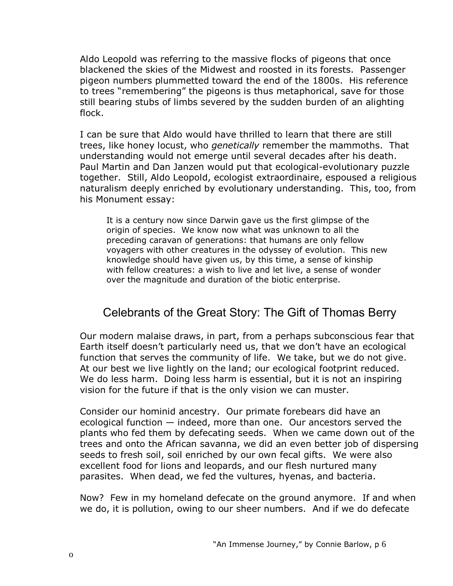Aldo Leopold was referring to the massive flocks of pigeons that once blackened the skies of the Midwest and roosted in its forests. Passenger pigeon numbers plummetted toward the end of the 1800s. His reference to trees "remembering" the pigeons is thus metaphorical, save for those still bearing stubs of limbs severed by the sudden burden of an alighting flock.

I can be sure that Aldo would have thrilled to learn that there are still trees, like honey locust, who *genetically* remember the mammoths. That understanding would not emerge until several decades after his death. Paul Martin and Dan Janzen would put that ecological-evolutionary puzzle together. Still, Aldo Leopold, ecologist extraordinaire, espoused a religious naturalism deeply enriched by evolutionary understanding. This, too, from his Monument essay:

It is a century now since Darwin gave us the first glimpse of the origin of species. We know now what was unknown to all the preceding caravan of generations: that humans are only fellow voyagers with other creatures in the odyssey of evolution. This new knowledge should have given us, by this time, a sense of kinship with fellow creatures: a wish to live and let live, a sense of wonder over the magnitude and duration of the biotic enterprise.

#### Celebrants of the Great Story: The Gift of Thomas Berry

Our modern malaise draws, in part, from a perhaps subconscious fear that Earth itself doesn't particularly need us, that we don't have an ecological function that serves the community of life. We take, but we do not give. At our best we live lightly on the land; our ecological footprint reduced. We do less harm. Doing less harm is essential, but it is not an inspiring vision for the future if that is the only vision we can muster.

Consider our hominid ancestry. Our primate forebears did have an ecological function  $-$  indeed, more than one. Our ancestors served the plants who fed them by defecating seeds. When we came down out of the trees and onto the African savanna, we did an even better job of dispersing seeds to fresh soil, soil enriched by our own fecal gifts. We were also excellent food for lions and leopards, and our flesh nurtured many parasites. When dead, we fed the vultures, hyenas, and bacteria.

Now? Few in my homeland defecate on the ground anymore. If and when we do, it is pollution, owing to our sheer numbers. And if we do defecate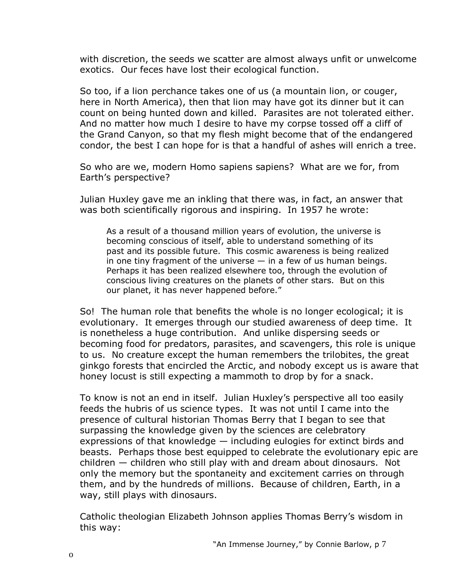with discretion, the seeds we scatter are almost always unfit or unwelcome exotics. Our feces have lost their ecological function.

So too, if a lion perchance takes one of us (a mountain lion, or couger, here in North America), then that lion may have got its dinner but it can count on being hunted down and killed. Parasites are not tolerated either. And no matter how much I desire to have my corpse tossed off a cliff of the Grand Canyon, so that my flesh might become that of the endangered condor, the best I can hope for is that a handful of ashes will enrich a tree.

So who are we, modern Homo sapiens sapiens? What are we for, from Earth's perspective?

Julian Huxley gave me an inkling that there was, in fact, an answer that was both scientifically rigorous and inspiring. In 1957 he wrote:

As a result of a thousand million years of evolution, the universe is becoming conscious of itself, able to understand something of its past and its possible future. This cosmic awareness is being realized in one tiny fragment of the universe  $-$  in a few of us human beings. Perhaps it has been realized elsewhere too, through the evolution of conscious living creatures on the planets of other stars. But on this our planet, it has never happened before."

So! The human role that benefits the whole is no longer ecological; it is evolutionary. It emerges through our studied awareness of deep time. It is nonetheless a huge contribution. And unlike dispersing seeds or becoming food for predators, parasites, and scavengers, this role is unique to us. No creature except the human remembers the trilobites, the great ginkgo forests that encircled the Arctic, and nobody except us is aware that honey locust is still expecting a mammoth to drop by for a snack.

To know is not an end in itself. Julian Huxleyís perspective all too easily feeds the hubris of us science types. It was not until I came into the presence of cultural historian Thomas Berry that I began to see that surpassing the knowledge given by the sciences are celebratory expressions of that knowledge  $-$  including eulogies for extinct birds and beasts. Perhaps those best equipped to celebrate the evolutionary epic are children  $-$  children who still play with and dream about dinosaurs. Not only the memory but the spontaneity and excitement carries on through them, and by the hundreds of millions. Because of children, Earth, in a way, still plays with dinosaurs.

Catholic theologian Elizabeth Johnson applies Thomas Berryís wisdom in this way: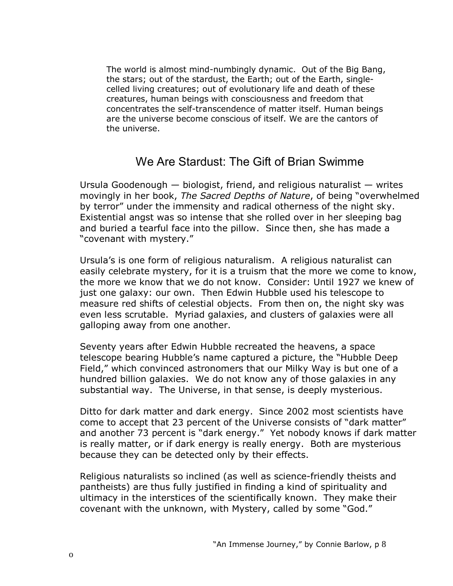The world is almost mind-numbingly dynamic. Out of the Big Bang, the stars; out of the stardust, the Earth; out of the Earth, singlecelled living creatures; out of evolutionary life and death of these creatures, human beings with consciousness and freedom that concentrates the self-transcendence of matter itself. Human beings are the universe become conscious of itself. We are the cantors of the universe.

#### We Are Stardust: The Gift of Brian Swimme

Ursula Goodenough  $-$  biologist, friend, and religious naturalist  $-$  writes movingly in her book, *The Sacred Depths of Nature*, of being "overwhelmed by terror<sup>"</sup> under the immensity and radical otherness of the night sky. Existential angst was so intense that she rolled over in her sleeping bag and buried a tearful face into the pillow. Since then, she has made a "covenant with mystery."

Ursulaís is one form of religious naturalism. A religious naturalist can easily celebrate mystery, for it is a truism that the more we come to know, the more we know that we do not know. Consider: Until 1927 we knew of just one galaxy: our own. Then Edwin Hubble used his telescope to measure red shifts of celestial objects. From then on, the night sky was even less scrutable. Myriad galaxies, and clusters of galaxies were all galloping away from one another.

Seventy years after Edwin Hubble recreated the heavens, a space telescope bearing Hubble's name captured a picture, the "Hubble Deep Field," which convinced astronomers that our Milky Way is but one of a hundred billion galaxies. We do not know any of those galaxies in any substantial way. The Universe, in that sense, is deeply mysterious.

Ditto for dark matter and dark energy. Since 2002 most scientists have come to accept that 23 percent of the Universe consists of "dark matter" and another 73 percent is "dark energy." Yet nobody knows if dark matter is really matter, or if dark energy is really energy. Both are mysterious because they can be detected only by their effects.

Religious naturalists so inclined (as well as science-friendly theists and pantheists) are thus fully justified in finding a kind of spirituality and ultimacy in the interstices of the scientifically known. They make their covenant with the unknown, with Mystery, called by some "God."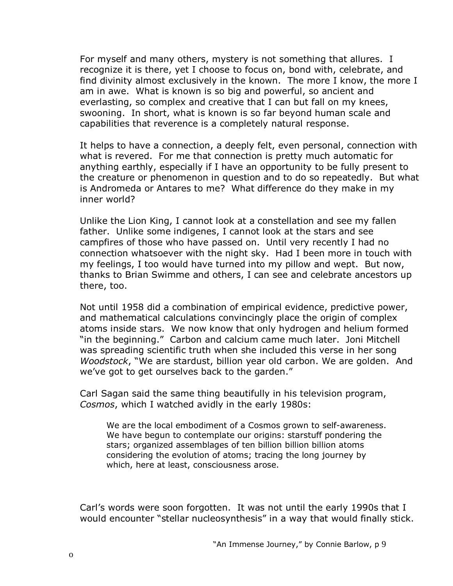For myself and many others, mystery is not something that allures. I recognize it is there, yet I choose to focus on, bond with, celebrate, and find divinity almost exclusively in the known. The more I know, the more I am in awe. What is known is so big and powerful, so ancient and everlasting, so complex and creative that I can but fall on my knees, swooning. In short, what is known is so far beyond human scale and capabilities that reverence is a completely natural response.

It helps to have a connection, a deeply felt, even personal, connection with what is revered. For me that connection is pretty much automatic for anything earthly, especially if I have an opportunity to be fully present to the creature or phenomenon in question and to do so repeatedly. But what is Andromeda or Antares to me? What difference do they make in my inner world?

Unlike the Lion King, I cannot look at a constellation and see my fallen father. Unlike some indigenes, I cannot look at the stars and see campfires of those who have passed on. Until very recently I had no connection whatsoever with the night sky. Had I been more in touch with my feelings, I too would have turned into my pillow and wept. But now, thanks to Brian Swimme and others, I can see and celebrate ancestors up there, too.

Not until 1958 did a combination of empirical evidence, predictive power, and mathematical calculations convincingly place the origin of complex atoms inside stars. We now know that only hydrogen and helium formed "in the beginning." Carbon and calcium came much later. Joni Mitchell was spreading scientific truth when she included this verse in her song *Woodstock*, "We are stardust, billion year old carbon. We are golden. And we've got to get ourselves back to the garden."

Carl Sagan said the same thing beautifully in his television program, *Cosmos*, which I watched avidly in the early 1980s:

We are the local embodiment of a Cosmos grown to self-awareness. We have begun to contemplate our origins: starstuff pondering the stars; organized assemblages of ten billion billion billion atoms considering the evolution of atoms; tracing the long journey by which, here at least, consciousness arose.

Carl's words were soon forgotten. It was not until the early 1990s that I would encounter "stellar nucleosynthesis" in a way that would finally stick.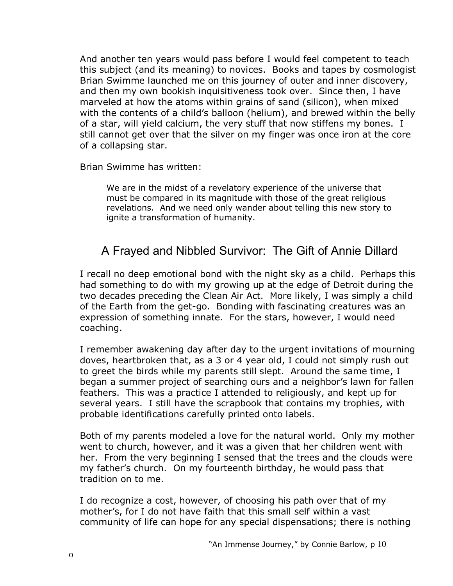And another ten years would pass before I would feel competent to teach this subject (and its meaning) to novices. Books and tapes by cosmologist Brian Swimme launched me on this journey of outer and inner discovery, and then my own bookish inquisitiveness took over. Since then, I have marveled at how the atoms within grains of sand (silicon), when mixed with the contents of a child's balloon (helium), and brewed within the belly of a star, will yield calcium, the very stuff that now stiffens my bones. I still cannot get over that the silver on my finger was once iron at the core of a collapsing star.

Brian Swimme has written:

We are in the midst of a revelatory experience of the universe that must be compared in its magnitude with those of the great religious revelations. And we need only wander about telling this new story to ignite a transformation of humanity.

## A Frayed and Nibbled Survivor: The Gift of Annie Dillard

I recall no deep emotional bond with the night sky as a child. Perhaps this had something to do with my growing up at the edge of Detroit during the two decades preceding the Clean Air Act. More likely, I was simply a child of the Earth from the get-go. Bonding with fascinating creatures was an expression of something innate. For the stars, however, I would need coaching.

I remember awakening day after day to the urgent invitations of mourning doves, heartbroken that, as a 3 or 4 year old, I could not simply rush out to greet the birds while my parents still slept. Around the same time, I began a summer project of searching ours and a neighbor's lawn for fallen feathers. This was a practice I attended to religiously, and kept up for several years. I still have the scrapbook that contains my trophies, with probable identifications carefully printed onto labels.

Both of my parents modeled a love for the natural world. Only my mother went to church, however, and it was a given that her children went with her. From the very beginning I sensed that the trees and the clouds were my fatherís church. On my fourteenth birthday, he would pass that tradition on to me.

I do recognize a cost, however, of choosing his path over that of my motherís, for I do not have faith that this small self within a vast community of life can hope for any special dispensations; there is nothing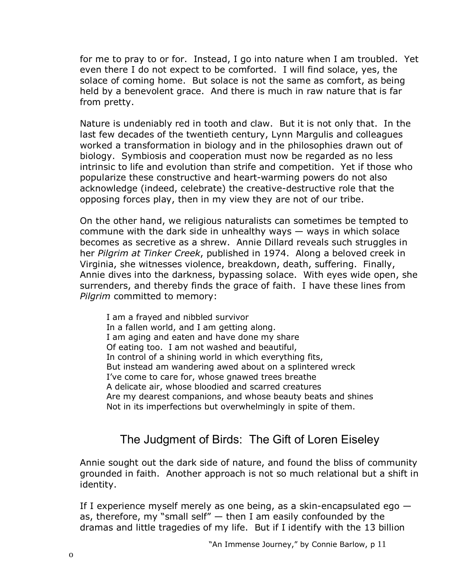for me to pray to or for. Instead, I go into nature when I am troubled. Yet even there I do not expect to be comforted. I will find solace, yes, the solace of coming home. But solace is not the same as comfort, as being held by a benevolent grace. And there is much in raw nature that is far from pretty.

Nature is undeniably red in tooth and claw. But it is not only that. In the last few decades of the twentieth century, Lynn Margulis and colleagues worked a transformation in biology and in the philosophies drawn out of biology. Symbiosis and cooperation must now be regarded as no less intrinsic to life and evolution than strife and competition. Yet if those who popularize these constructive and heart-warming powers do not also acknowledge (indeed, celebrate) the creative-destructive role that the opposing forces play, then in my view they are not of our tribe.

On the other hand, we religious naturalists can sometimes be tempted to commune with the dark side in unhealthy ways  $-$  ways in which solace becomes as secretive as a shrew. Annie Dillard reveals such struggles in her *Pilgrim at Tinker Creek*, published in 1974. Along a beloved creek in Virginia, she witnesses violence, breakdown, death, suffering. Finally, Annie dives into the darkness, bypassing solace. With eyes wide open, she surrenders, and thereby finds the grace of faith. I have these lines from *Pilgrim* committed to memory:

I am a frayed and nibbled survivor In a fallen world, and I am getting along. I am aging and eaten and have done my share Of eating too. I am not washed and beautiful, In control of a shining world in which everything fits, But instead am wandering awed about on a splintered wreck I've come to care for, whose gnawed trees breathe A delicate air, whose bloodied and scarred creatures Are my dearest companions, and whose beauty beats and shines Not in its imperfections but overwhelmingly in spite of them.

#### The Judgment of Birds: The Gift of Loren Eiseley

Annie sought out the dark side of nature, and found the bliss of community grounded in faith. Another approach is not so much relational but a shift in identity.

If I experience myself merely as one being, as a skin-encapsulated ego  $$ as, therefore, my "small self"  $-$  then I am easily confounded by the dramas and little tragedies of my life. But if I identify with the 13 billion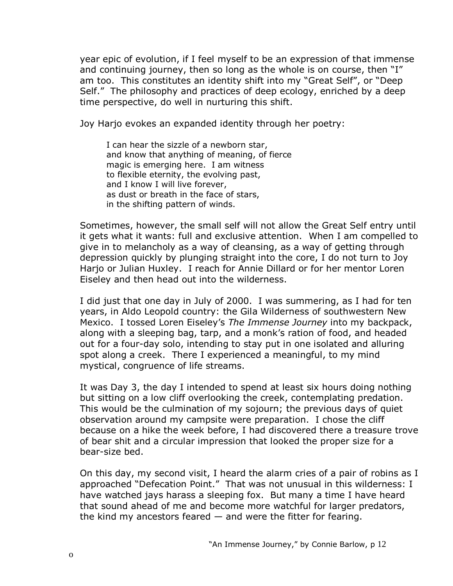year epic of evolution, if I feel myself to be an expression of that immense and continuing journey, then so long as the whole is on course, then  $I''$ am too. This constitutes an identity shift into my "Great Self", or "Deep Self." The philosophy and practices of deep ecology, enriched by a deep time perspective, do well in nurturing this shift.

Joy Harjo evokes an expanded identity through her poetry:

I can hear the sizzle of a newborn star, and know that anything of meaning, of fierce magic is emerging here. I am witness to flexible eternity, the evolving past, and I know I will live forever, as dust or breath in the face of stars, in the shifting pattern of winds.

Sometimes, however, the small self will not allow the Great Self entry until it gets what it wants: full and exclusive attention. When I am compelled to give in to melancholy as a way of cleansing, as a way of getting through depression quickly by plunging straight into the core, I do not turn to Joy Harjo or Julian Huxley. I reach for Annie Dillard or for her mentor Loren Eiseley and then head out into the wilderness.

I did just that one day in July of 2000. I was summering, as I had for ten years, in Aldo Leopold country: the Gila Wilderness of southwestern New Mexico. I tossed Loren Eiseleyís *The Immense Journey* into my backpack, along with a sleeping bag, tarp, and a monk's ration of food, and headed out for a four-day solo, intending to stay put in one isolated and alluring spot along a creek. There I experienced a meaningful, to my mind mystical, congruence of life streams.

It was Day 3, the day I intended to spend at least six hours doing nothing but sitting on a low cliff overlooking the creek, contemplating predation. This would be the culmination of my sojourn; the previous days of quiet observation around my campsite were preparation. I chose the cliff because on a hike the week before, I had discovered there a treasure trove of bear shit and a circular impression that looked the proper size for a bear-size bed.

On this day, my second visit, I heard the alarm cries of a pair of robins as I approached "Defecation Point." That was not unusual in this wilderness: I have watched jays harass a sleeping fox. But many a time I have heard that sound ahead of me and become more watchful for larger predators, the kind my ancestors feared  $-$  and were the fitter for fearing.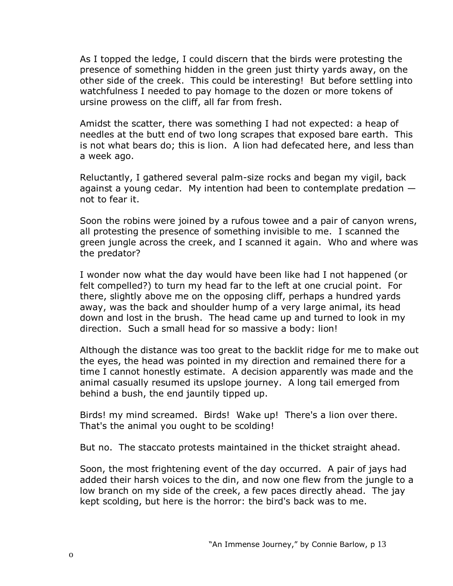As I topped the ledge, I could discern that the birds were protesting the presence of something hidden in the green just thirty yards away, on the other side of the creek. This could be interesting! But before settling into watchfulness I needed to pay homage to the dozen or more tokens of ursine prowess on the cliff, all far from fresh.

Amidst the scatter, there was something I had not expected: a heap of needles at the butt end of two long scrapes that exposed bare earth. This is not what bears do; this is lion. A lion had defecated here, and less than a week ago.

Reluctantly, I gathered several palm-size rocks and began my vigil, back against a young cedar. My intention had been to contemplate predation  $$ not to fear it.

Soon the robins were joined by a rufous towee and a pair of canyon wrens, all protesting the presence of something invisible to me. I scanned the green jungle across the creek, and I scanned it again. Who and where was the predator?

I wonder now what the day would have been like had I not happened (or felt compelled?) to turn my head far to the left at one crucial point. For there, slightly above me on the opposing cliff, perhaps a hundred yards away, was the back and shoulder hump of a very large animal, its head down and lost in the brush. The head came up and turned to look in my direction. Such a small head for so massive a body: lion!

Although the distance was too great to the backlit ridge for me to make out the eyes, the head was pointed in my direction and remained there for a time I cannot honestly estimate. A decision apparently was made and the animal casually resumed its upslope journey. A long tail emerged from behind a bush, the end jauntily tipped up.

Birds! my mind screamed. Birds! Wake up! There's a lion over there. That's the animal you ought to be scolding!

But no. The staccato protests maintained in the thicket straight ahead.

Soon, the most frightening event of the day occurred. A pair of jays had added their harsh voices to the din, and now one flew from the jungle to a low branch on my side of the creek, a few paces directly ahead. The jay kept scolding, but here is the horror: the bird's back was to me.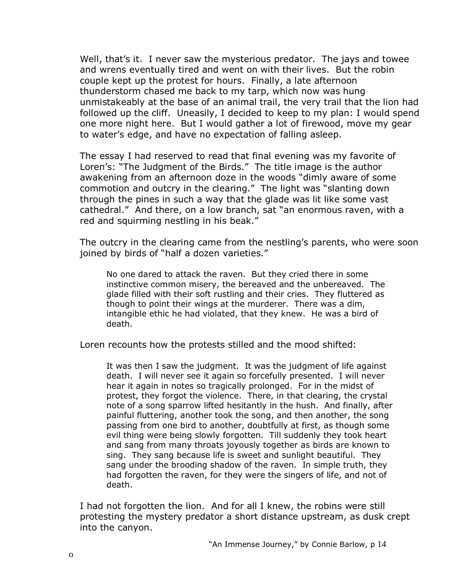Well, that's it. I never saw the mysterious predator. The jays and towee and wrens eventually tired and went on with their lives. But the robin couple kept up the protest for hours. Finally, a late afternoon thunderstorm chased me back to my tarp, which now was hung unmistakeably at the base of an animal trail, the very trail that the lion had followed up the cliff. Uneasily, I decided to keep to my plan: I would spend one more night here. But I would gather a lot of firewood, move my gear to water's edge, and have no expectation of falling asleep.

The essay I had reserved to read that final evening was my favorite of Loren's: "The Judgment of the Birds." The title image is the author awakening from an afternoon doze in the woods "dimly aware of some commotion and outcry in the clearing." The light was "slanting down through the pines in such a way that the glade was lit like some vast cathedral." And there, on a low branch, sat "an enormous raven, with a red and squirming nestling in his beak."

The outcry in the clearing came from the nestlingís parents, who were soon joined by birds of "half a dozen varieties."

No one dared to attack the raven. But they cried there in some instinctive common misery, the bereaved and the unbereaved. The glade filled with their soft rustling and their cries. They fluttered as though to point their wings at the murderer. There was a dim, intangible ethic he had violated, that they knew. He was a bird of death.

Loren recounts how the protests stilled and the mood shifted:

It was then I saw the judgment. It was the judgment of life against death. I will never see it again so forcefully presented. I will never hear it again in notes so tragically prolonged. For in the midst of protest, they forgot the violence. There, in that clearing, the crystal note of a song sparrow lifted hesitantly in the hush. And finally, after painful fluttering, another took the song, and then another, the song passing from one bird to another, doubtfully at first, as though some evil thing were being slowly forgotten. Till suddenly they took heart and sang from many throats joyously together as birds are known to sing. They sang because life is sweet and sunlight beautiful. They sang under the brooding shadow of the raven. In simple truth, they had forgotten the raven, for they were the singers of life, and not of death.

I had not forgotten the lion. And for all I knew, the robins were still protesting the mystery predator a short distance upstream, as dusk crept into the canyon.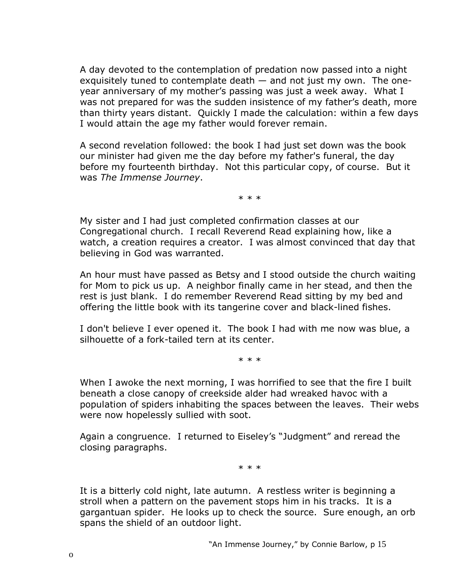A day devoted to the contemplation of predation now passed into a night exquisitely tuned to contemplate death  $-$  and not just my own. The oneyear anniversary of my mother's passing was just a week away. What I was not prepared for was the sudden insistence of my father's death, more than thirty years distant. Quickly I made the calculation: within a few days I would attain the age my father would forever remain.

A second revelation followed: the book I had just set down was the book our minister had given me the day before my father's funeral, the day before my fourteenth birthday. Not this particular copy, of course. But it was *The Immense Journey*.

\* \* \*

My sister and I had just completed confirmation classes at our Congregational church. I recall Reverend Read explaining how, like a watch, a creation requires a creator. I was almost convinced that day that believing in God was warranted.

An hour must have passed as Betsy and I stood outside the church waiting for Mom to pick us up. A neighbor finally came in her stead, and then the rest is just blank. I do remember Reverend Read sitting by my bed and offering the little book with its tangerine cover and black-lined fishes.

I don't believe I ever opened it. The book I had with me now was blue, a silhouette of a fork-tailed tern at its center.

\* \* \*

When I awoke the next morning, I was horrified to see that the fire I built beneath a close canopy of creekside alder had wreaked havoc with a population of spiders inhabiting the spaces between the leaves. Their webs were now hopelessly sullied with soot.

Again a congruence. I returned to Eiseley's "Judgment" and reread the closing paragraphs.

\* \* \*

It is a bitterly cold night, late autumn. A restless writer is beginning a stroll when a pattern on the pavement stops him in his tracks. It is a gargantuan spider. He looks up to check the source. Sure enough, an orb spans the shield of an outdoor light.